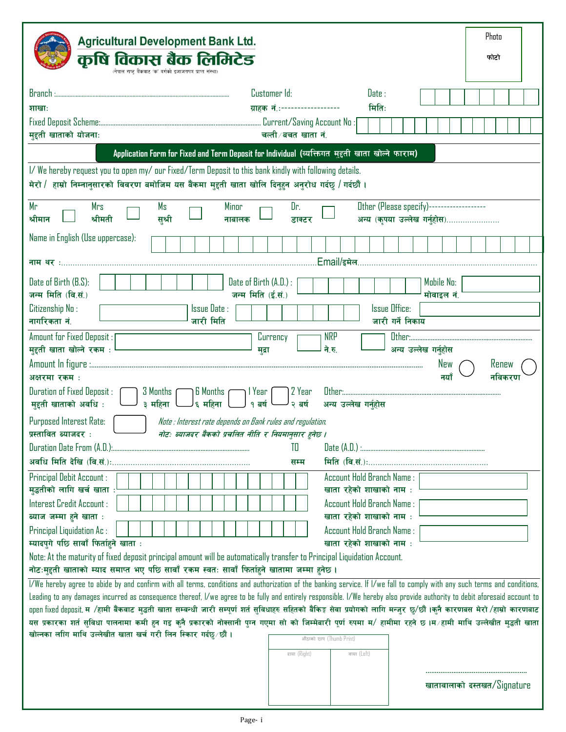| <b>Agricultural Development Bank Ltd.</b>                                                                                                                                                                                           |                                                                                                  | Photo          |
|-------------------------------------------------------------------------------------------------------------------------------------------------------------------------------------------------------------------------------------|--------------------------------------------------------------------------------------------------|----------------|
| कृषि विकास बैंक लिमिटेड<br>(नेपाल राष्ट्र बैंकबाट 'क' बर्गको इजाजतपत्र प्राप्त संस्था)                                                                                                                                              |                                                                                                  | फोटो           |
| Branch :                                                                                                                                                                                                                            | Customer Id:<br>Date:                                                                            |                |
| शाखाः                                                                                                                                                                                                                               | मिति:<br>ग्राहक नं.:------------------                                                           |                |
|                                                                                                                                                                                                                                     |                                                                                                  |                |
| मुद्दती खाताको योजना:                                                                                                                                                                                                               | चल्ती ∕ बचत खाता नं.                                                                             |                |
|                                                                                                                                                                                                                                     | Application Form for Fixed and Term Deposit for Individual (व्यक्तिगत मुद्दती खाता खोल्ने फाराम) |                |
| I/We hereby request you to open my/ our Fixed/Term Deposit to this bank kindly with following details.<br>मेरो / हाम्रो निम्नानुसारको विवरण बमोजिम यस बैंकमा मुद्दती खाता खोलि दिनुहुन अनुरोध गर्दछु / गर्दछौं ।                    |                                                                                                  |                |
| Mr<br>Mrs<br>Ms<br>Minor<br>श्रीमान<br>श्रीमती<br>सुश्री<br>नाबालक                                                                                                                                                                  | Other (Please specify)------------------<br>Dr.<br>अन्य (कृपया उल्लेख गर्नुहोस)<br>डाक्टर        |                |
| Name in English (Use uppercase):                                                                                                                                                                                                    |                                                                                                  |                |
|                                                                                                                                                                                                                                     |                                                                                                  |                |
|                                                                                                                                                                                                                                     | .Email/इमेल.                                                                                     |                |
| Date of Birth (B.S):<br>Date of Birth (A.D.) :                                                                                                                                                                                      |                                                                                                  | Mobile No:     |
| जन्म मिति (ई.सं.)<br>जन्म मिति (वि.सं.)                                                                                                                                                                                             |                                                                                                  | मोवाइल नं.     |
| Citizenship No:<br>Issue Date:                                                                                                                                                                                                      | <b>Issue Office:</b>                                                                             |                |
| जारी मिति<br>नागरिकता नं.                                                                                                                                                                                                           | जारी गर्ने निकाय                                                                                 |                |
| Amount for Fixed Deposit:<br>मुद्दती खाता खोल्ने रकम :                                                                                                                                                                              | <b>NRP</b><br>Currency<br>ने.रु.<br>अन्य उल्लेख गर्नुहोस                                         |                |
|                                                                                                                                                                                                                                     | मुद्रा                                                                                           | New<br>Kenew   |
| अक्षरमा रकम:                                                                                                                                                                                                                        |                                                                                                  | नयाँ<br>नविकरण |
|                                                                                                                                                                                                                                     |                                                                                                  |                |
| 3 Months (                                                                                                                                                                                                                          |                                                                                                  |                |
| <b>Duration of Fixed Deposit:</b><br>  6 Months r<br>1 Year<br>६ महिना<br>१ बर्ष<br>मुद्दती खाताको अवधि :<br>३ महिना                                                                                                                | 2 Year<br>२ बर्ष<br>अन्य उल्लेख गर्नहोस                                                          |                |
| Purposed Interest Rate:<br>Note : Interest rate depends on Bank rules and regulation.                                                                                                                                               |                                                                                                  |                |
| प्रस्तावित ब्याजदर :<br>नोटः ब्याजदर बैंकको प्रचलित नीति र नियमानुसार हुनेछ ।                                                                                                                                                       |                                                                                                  |                |
|                                                                                                                                                                                                                                     | TO                                                                                               |                |
|                                                                                                                                                                                                                                     | सम्म                                                                                             |                |
| <b>Principal Debit Account:</b>                                                                                                                                                                                                     | <b>Account Hold Branch Name:</b>                                                                 |                |
| मुद्धतीको लागि खर्च खाता :                                                                                                                                                                                                          | खाता रहेको शाखाको नाम :                                                                          |                |
| Interest Credit Account :                                                                                                                                                                                                           | <b>Account Hold Branch Name:</b>                                                                 |                |
| ब्याज जम्मा हुने खाता :                                                                                                                                                                                                             | खाता रहेको शाखाको नाम :                                                                          |                |
| Principal Liquidation Ac:                                                                                                                                                                                                           | Account Hold Branch Name:                                                                        |                |
| म्यादपुगे पछि सावाँ फिर्ताहुने खाता:                                                                                                                                                                                                | खाता रहेको शाखाको नाम :                                                                          |                |
| Note: At the maturity of fixed deposit principal amount will be automatically transfer to Principal Liquidation Account.                                                                                                            |                                                                                                  |                |
| नोटःमुद्दती खाताको म्याद समाप्त भए पछि सावाँ रकम स्वतः सावाँ फिर्ताहुने खातामा जम्मा हुनेछ ।                                                                                                                                        |                                                                                                  |                |
| I/We hereby agree to abide by and confirm with all terms, conditions and authorization of the banking service. If I/we fall to comply with any such terms and conditions,                                                           |                                                                                                  |                |
| Leading to any damages incurred as consequence thereof. I/we agree to be fully and entirely responsible. I/We hereby also provide authority to debit aforesaid account to                                                           |                                                                                                  |                |
| open fixed deposit, म /हामी बैंकवाट मुद्धती खाता सम्वन्धी जारी सम्पूर्ण शर्त सुविधाहरु सहितको बैंकिङ्ग सेवा प्रयोगको लागि मन्जुर छु/छौँ ।कुनै कारणबस मेरो /हाम्रो कारणबाट                                                           |                                                                                                  |                |
| यस प्रकारका शर्त सुविधा पालनामा कमी हुन गइ कुनै प्रकारको नोक्सानी पुग्न गएमा सो को जिम्मेबारी पूर्ण रुपमा म ∕ हामीमा रहने छ ।म ∕हामी माथि उल्लेखीत मुद्धती खाता<br>खोल्नका लागि माथि उल्लेखीत खाता खर्च गरी लिन स्काि गर्दछू ∕ छौं। |                                                                                                  |                |
|                                                                                                                                                                                                                                     | औठाको छाप (Thumb Print)                                                                          |                |
|                                                                                                                                                                                                                                     | दाया (Right)<br>वाया (Left)                                                                      |                |

,